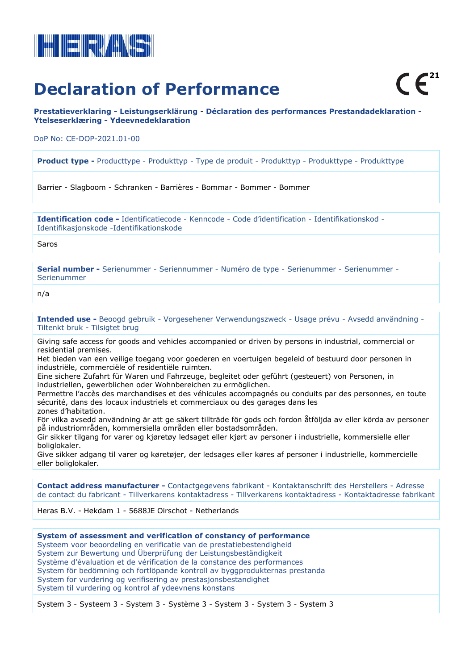

## **Declaration of Performance**

**Prestatieverklaring - Leistungserklärung** - **Déclaration des performances Prestandadeklaration - Ytelseserklæring - Ydeevnedeklaration**

DoP No: CE-DOP-2021.01-00

**Product type -** Producttype - Produkttyp - Type de produit - Produkttyp - Produkttype - Produkttype

Barrier - Slagboom - Schranken - Barrières - Bommar - Bommer - Bommer

**Identification code -** Identificatiecode - Kenncode - Code d'identification - Identifikationskod - Identifikasjonskode -Identifikationskode

Saros

**Serial number -** Serienummer - Seriennummer - Numéro de type - Serienummer - Serienummer - Serienummer

n/a

**Intended use -** Beoogd gebruik - Vorgesehener Verwendungszweck - Usage prévu - Avsedd användning - Tiltenkt bruk - Tilsigtet brug

Giving safe access for goods and vehicles accompanied or driven by persons in industrial, commercial or residential premises.

Het bieden van een veilige toegang voor goederen en voertuigen begeleid of bestuurd door personen in industriële, commerciële of residentiële ruimten.

Eine sichere Zufahrt für Waren und Fahrzeuge, begleitet oder geführt (gesteuert) von Personen, in industriellen, gewerblichen oder Wohnbereichen zu ermöglichen.

Permettre l'accès des marchandises et des véhicules accompagnés ou conduits par des personnes, en toute sécurité, dans des locaux industriels et commerciaux ou des garages dans les zones d'habitation.

För vilka avsedd användning är att ge säkert tillträde för gods och fordon åtföljda av eller körda av personer på industriområden, kommersiella områden eller bostadsområden.

Gir sikker tilgang for varer og kjøretøy ledsaget eller kjørt av personer i industrielle, kommersielle eller boliglokaler.

Give sikker adgang til varer og køretøjer, der ledsages eller køres af personer i industrielle, kommercielle eller boliglokaler.

**Contact address manufacturer -** Contactgegevens fabrikant - Kontaktanschrift des Herstellers - Adresse de contact du fabricant - Tillverkarens kontaktadress - Tillverkarens kontaktadress - Kontaktadresse fabrikant

Heras B.V. - Hekdam 1 - 5688JE Oirschot - Netherlands

**System of assessment and verification of constancy of performance** Systeem voor beoordeling en verificatie van de prestatiebestendigheid System zur Bewertung und Überprüfung der Leistungsbeständigkeit Système d'évaluation et de vérification de la constance des performances System för bedömning och fortlöpande kontroll av byggprodukternas prestanda System for vurdering og verifisering av prestasjonsbestandighet System til vurdering og kontrol af ydeevnens konstans

System 3 - Systeem 3 - System 3 - Système 3 - System 3 - System 3 - System 3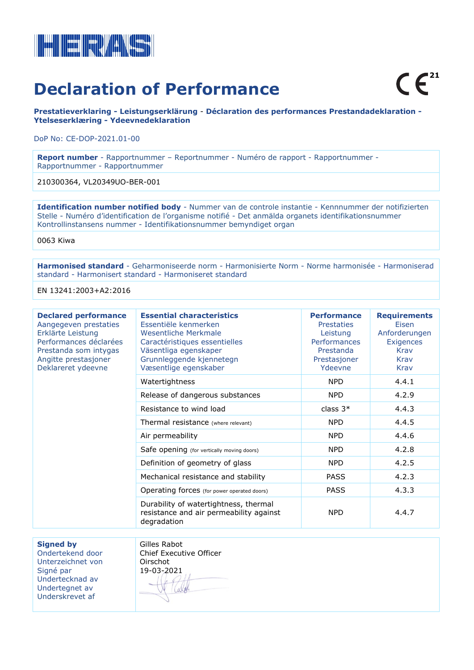

### **Declaration of Performance**

**Prestatieverklaring - Leistungserklärung** - **Déclaration des performances Prestandadeklaration - Ytelseserklæring - Ydeevnedeklaration**

DoP No: CE-DOP-2021.01-00

**Report number** - Rapportnummer – Reportnummer - Numéro de rapport - Rapportnummer - Rapportnummer - Rapportnummer

210300364, VL20349UO-BER-001

**Identification number notified body** - Nummer van de controle instantie - Kennnummer der notifizierten Stelle - Numéro d'identification de l'organisme notifié - Det anmälda organets identifikationsnummer Kontrollinstansens nummer - Identifikationsnummer bemyndiget organ

0063 Kiwa

**Harmonised standard** - Geharmoniseerde norm - Harmonisierte Norm - Norme harmonisée - Harmoniserad standard - Harmonisert standard - Harmoniseret standard

EN 13241:2003+A2:2016

| <b>Declared performance</b><br>Aangegeven prestaties<br>Erklärte Leistung<br>Performances déclarées<br>Prestanda som intygas<br>Angitte prestasjoner<br>Deklareret ydeevne | <b>Essential characteristics</b><br>Essentiële kenmerken<br>Wesentliche Merkmale<br>Caractéristiques essentielles<br>Väsentliga egenskaper<br>Grunnleggende kjennetegn<br>Væsentlige egenskaber | <b>Performance</b><br><b>Prestaties</b><br>Leistung<br><b>Performances</b><br>Prestanda<br>Prestasjoner<br>Ydeevne | <b>Requirements</b><br>Eisen<br>Anforderungen<br><b>Exigences</b><br>Krav<br>Krav<br>Krav |
|----------------------------------------------------------------------------------------------------------------------------------------------------------------------------|-------------------------------------------------------------------------------------------------------------------------------------------------------------------------------------------------|--------------------------------------------------------------------------------------------------------------------|-------------------------------------------------------------------------------------------|
|                                                                                                                                                                            | Watertightness                                                                                                                                                                                  | <b>NPD</b>                                                                                                         | 4.4.1                                                                                     |
|                                                                                                                                                                            | Release of dangerous substances                                                                                                                                                                 | <b>NPD</b>                                                                                                         | 4.2.9                                                                                     |
|                                                                                                                                                                            | Resistance to wind load                                                                                                                                                                         | class $3*$                                                                                                         | 4.4.3                                                                                     |
|                                                                                                                                                                            | Thermal resistance (where relevant)                                                                                                                                                             | <b>NPD</b>                                                                                                         | 4.4.5                                                                                     |
|                                                                                                                                                                            | Air permeability                                                                                                                                                                                | <b>NPD</b>                                                                                                         | 4.4.6                                                                                     |
|                                                                                                                                                                            | Safe opening (for vertically moving doors)                                                                                                                                                      | <b>NPD</b>                                                                                                         | 4.2.8                                                                                     |
|                                                                                                                                                                            | Definition of geometry of glass                                                                                                                                                                 | <b>NPD</b>                                                                                                         | 4.2.5                                                                                     |
|                                                                                                                                                                            | Mechanical resistance and stability                                                                                                                                                             | <b>PASS</b>                                                                                                        | 4.2.3                                                                                     |
|                                                                                                                                                                            | Operating forces (for power operated doors)                                                                                                                                                     | <b>PASS</b>                                                                                                        | 4.3.3                                                                                     |
|                                                                                                                                                                            | Durability of watertightness, thermal<br>resistance and air permeability against<br>degradation                                                                                                 | <b>NPD</b>                                                                                                         | 4.4.7                                                                                     |

**Signed by** 

Ondertekend door Unterzeichnet von Signé par Undertecknad av Undertegnet av Underskrevet af

Gilles Rabot Chief Executive Officer Oirschot 19-03-2021